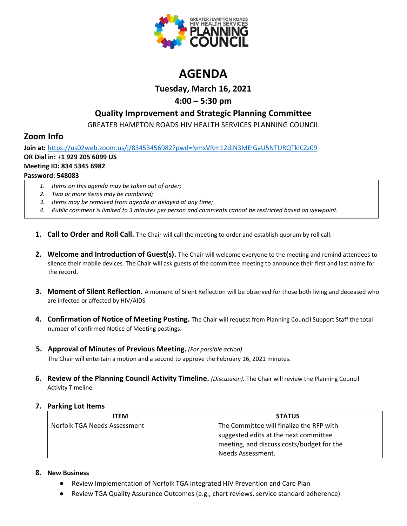

# **AGENDA**

**Tuesday, March 16, 2021**

## **4:00 – 5:30 pm**

### **Quality Improvement and Strategic Planning Committee**

GREATER HAMPTON ROADS HIV HEALTH SERVICES PLANNING COUNCIL

## **Zoom Info**

**Join at:** <https://us02web.zoom.us/j/83453456982?pwd=NmxVRm12djN3MElGaU5NTURQTklCZz09> **OR Dial in:** +**1 929 205 6099 US Meeting ID: 834 5345 6982 Password: 548083**

- *1. Items on this agenda may be taken out of order;*
- *2. Two or more items may be combined;*
- *3. Items may be removed from agenda or delayed at any time;*
- *4. Public comment is limited to 3 minutes per person and comments cannot be restricted based on viewpoint.*
- **1. Call to Order and Roll Call.** The Chair will call the meeting to order and establish quorum by roll call.
- **2. Welcome and Introduction of Guest(s).** The Chair will welcome everyone to the meeting and remind attendees to silence their mobile devices. The Chair will ask guests of the committee meeting to announce their first and last name for the record.
- **3. Moment of Silent Reflection.** A moment of Silent Reflection will be observed for those both living and deceased who are infected or affected by HIV/AIDS
- **4. Confirmation of Notice of Meeting Posting.** The Chair will request from Planning Council Support Staff the total number of confirmed Notice of Meeting postings.
- **5. Approval of Minutes of Previous Meeting.** *(For possible action)*

The Chair will entertain a motion and a second to approve the February 16, 2021 minutes.

**6. Review of the Planning Council Activity Timeline.** *(Discussion).* The Chair will review the Planning Council Activity Timeline.

### **7. Parking Lot Items**

| <b>ITEM</b>                  | <b>STATUS</b>                             |
|------------------------------|-------------------------------------------|
| Norfolk TGA Needs Assessment | The Committee will finalize the RFP with  |
|                              | suggested edits at the next committee     |
|                              | meeting, and discuss costs/budget for the |
|                              | Needs Assessment.                         |

### **8. New Business**

- Review Implementation of Norfolk TGA Integrated HIV Prevention and Care Plan
- Review TGA Quality Assurance Outcomes (e.g., chart reviews, service standard adherence)